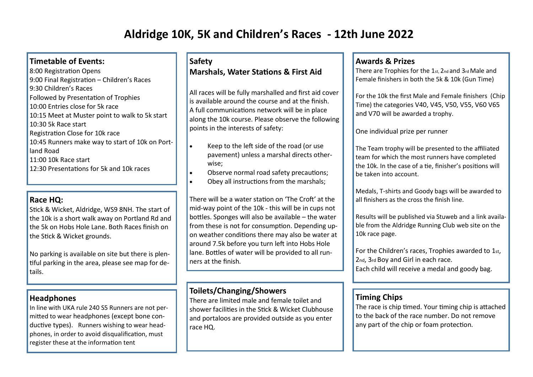# **Aldridge 10K, 5K and Children's Races - 12th June 2022**

### **Timetable of Events:**

8:00 Registration Opens 9:00 Final Registration - Children's Races 9:30 Children's Races Followed by Presentation of Trophies 10:00 Entries close for 5k race 10:15 Meet at Muster point to walk to 5k start 10:30 5k Race start Registration Close for 10k race 10:45 Runners make way to start of 10k on Portland Road 11:00 10k Race start 12:30 Presentations for 5k and 10k races

## **Race HQ:**

Stick & Wicket, Aldridge, WS9 8NH. The start of the 10k is a short walk away on Portland Rd and the 5k on Hobs Hole Lane. Both Races finish on the Stick & Wicket grounds.

No parking is available on site but there is plentiful parking in the area, please see map for details.

## **Headphones**

In line with UKA rule 240 S5 Runners are not permitted to wear headphones (except bone conductive types). Runners wishing to wear headphones, in order to avoid disqualification, must register these at the information tent

# **Safety**

# **Marshals, Water Stations & First Aid**

All races will be fully marshalled and first aid cover is available around the course and at the finish. A full communications network will be in place along the 10k course. Please observe the following points in the interests of safety:

- Keep to the left side of the road (or use pavement) unless a marshal directs otherwise;
- Observe normal road safety precautions;
- Obey all instructions from the marshals;

There will be a water station on 'The Croft' at the mid-way point of the 10k - this will be in cups not bottles. Sponges will also be available – the water from these is not for consumption. Depending upon weather conditions there may also be water at around 7.5k before you turn left into Hobs Hole lane. Bottles of water will be provided to all runners at the finish.

## **Toilets/Changing/Showers**

There are limited male and female toilet and shower facilities in the Stick & Wicket Clubhouse and portaloos are provided outside as you enter race HQ.

## **Awards & Prizes**

There are Trophies for the 1st, 2nd and 3rd Male and Female finishers in both the 5k & 10k (Gun Time)

For the 10k the first Male and Female finishers (Chip Time) the categories V40, V45, V50, V55, V60 V65 and V70 will be awarded a trophy.

One individual prize per runner

The Team trophy will be presented to the affiliated team for which the most runners have completed the 10k. In the case of a tie, finisher's positions will be taken into account.

Medals, T-shirts and Goody bags will be awarded to all finishers as the cross the finish line.

Results will be published via Stuweb and a link available from the Aldridge Running Club web site on the 10k race page.

For the Children's races, Trophies awarded to 1st, 2nd, 3rd Boy and Girl in each race. Each child will receive a medal and goody bag.

# **Timing Chips**

The race is chip timed. Your timing chip is attached to the back of the race number. Do not remove any part of the chip or foam protection.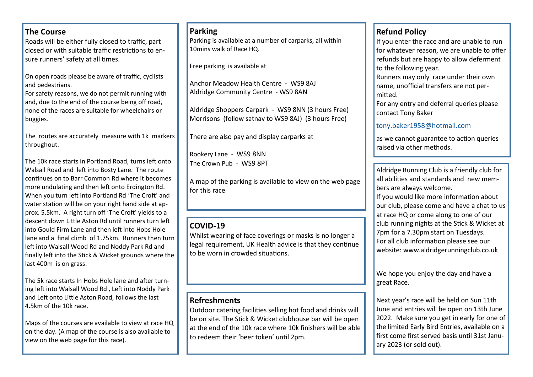### **The Course**

Roads will be either fully closed to traffic, part closed or with suitable traffic restrictions to ensure runners' safety at all times.

On open roads please be aware of traffic, cyclists and pedestrians.

For safety reasons, we do not permit running with and, due to the end of the course being off road, none of the races are suitable for wheelchairs or buggies.

The routes are accurately measure with 1k markers throughout.

The 10k race starts in Portland Road, turns left onto Walsall Road and left into Bosty Lane. The route continues on to Barr Common Rd where it becomes more undulating and then left onto Erdington Rd. When you turn left into Portland Rd 'The Croft' and water station will be on your right hand side at approx. 5.5km. A right turn off 'The Croft' yields to a descent down Little Aston Rd until runners turn left into Gould Firm Lane and then left into Hobs Hole lane and a final climb of 1.75km. Runners then turn left into Walsall Wood Rd and Noddy Park Rd and finally left into the Stick & Wicket grounds where the last 400m is on grass.

The 5k race starts In Hobs Hole lane and after turning left into Walsall Wood Rd , Left into Noddy Park and Left onto Little Aston Road, follows the last 4.5km of the 10k race.

Maps of the courses are available to view at race HQ on the day. (A map of the course is also available to view on the web page for this race).

### **Parking**

Parking is available at a number of carparks, all within 10mins walk of Race HQ.

Free parking is available at

Anchor Meadow Health Centre - WS9 8AJ Aldridge Community Centre - WS9 8AN

Aldridge Shoppers Carpark - WS9 8NN (3 hours Free) Morrisons (follow satnav to WS9 8AJ) (3 hours Free)

There are also pay and display carparks at

Rookery Lane - WS9 8NN The Crown Pub - WS9 8PT

A map of the parking is available to view on the web page for this race

# **COVID-19**

Whilst wearing of face coverings or masks is no longer a legal requirement, UK Health advice is that they continue to be worn in crowded situations.

## **Refreshments**

Outdoor catering facilities selling hot food and drinks will be on site. The Stick & Wicket clubhouse bar will be open at the end of the 10k race where 10k finishers will be able to redeem their 'beer token' until 2pm.

# **Refund Policy**

If you enter the race and are unable to run for whatever reason, we are unable to offer refunds but are happy to allow deferment to the following year.

Runners may only race under their own name, unofficial transfers are not permitted.

For any entry and deferral queries please contact Tony Baker

#### [tony.baker1958@hotmail.com](mailto:tony.baker1958@hotmail.com)

as we cannot guarantee to action queries raised via other methods.

Aldridge Running Club is a friendly club for all abilities and standards and new members are always welcome.

If you would like more information about our club, please come and have a chat to us at race HQ or come along to one of our club running nights at the Stick & Wicket at 7pm for a 7.30pm start on Tuesdays. For all club information please see our website: www.aldridgerunningclub.co.uk

We hope you enjoy the day and have a great Race.

Next year's race will be held on Sun 11th June and entries will be open on 13th June 2022. Make sure you get in early for one of the limited Early Bird Entries, available on a first come first served basis until 31st January 2023 (or sold out).